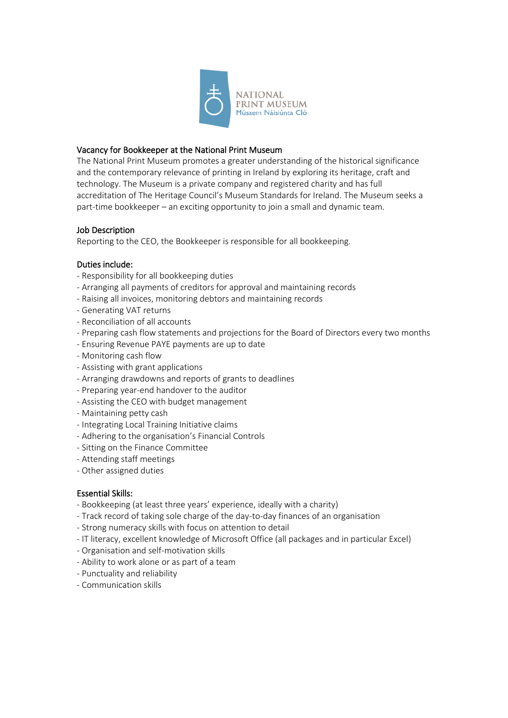

# Vacancy for Bookkeeper at the National Print Museum

The National Print Museum promotes a greater understanding of the historical significance and the contemporary relevance of printing in Ireland by exploring its heritage, craft and technology. The Museum is a private company and registered charity and has full accreditation of The Heritage Council's Museum Standards for Ireland. The Museum seeks a part-time bookkeeper – an exciting opportunity to join a small and dynamic team.

# Job Description

Reporting to the CEO, the Bookkeeper is responsible for all bookkeeping.

# Duties include:

- Responsibility for all bookkeeping duties
- Arranging all payments of creditors for approval and maintaining records
- Raising all invoices, monitoring debtors and maintaining records
- Generating VAT returns
- Reconciliation of all accounts
- Preparing cash flow statements and projections for the Board of Directors every two months
- Ensuring Revenue PAYE payments are up to date
- Monitoring cash flow
- Assisting with grant applications
- Arranging drawdowns and reports of grants to deadlines
- Preparing year-end handover to the auditor
- Assisting the CEO with budget management
- Maintaining petty cash
- Integrating Local Training Initiative claims
- Adhering to the organisation's Financial Controls
- Sitting on the Finance Committee
- Attending staff meetings
- Other assigned duties

### Essential Skills:

- Bookkeeping (at least three years' experience, ideally with a charity)
- Track record of taking sole charge of the day-to-day finances of an organisation
- Strong numeracy skills with focus on attention to detail
- IT literacy, excellent knowledge of Microsoft Office (all packages and in particular Excel)
- Organisation and self-motivation skills
- Ability to work alone or as part of a team
- Punctuality and reliability
- Communication skills